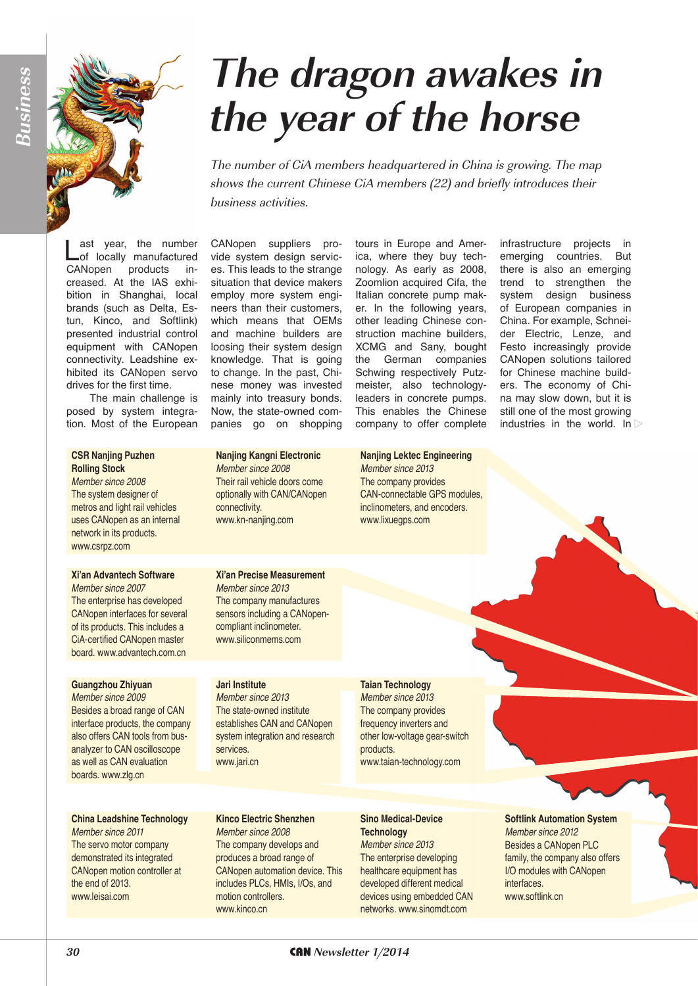# **The dragon awakes in the year of the horse**

The number of CiA members headquartered in China is growing. The map shows the current Chinese CiA members (22) and briefly introduces their business activities.

**Last year, the number**<br> **Lot** locally manufactured CANopen products increased. At the IAS exhibition in Shanghai, local brands (such as Delta, Estun, Kinco, and Softlink) presented industrial control equipment with CANopen connectivity. Leadshine exhibited its CANopen servo drives for the first time.

The main challenge is posed by system integration. Most of the European

### **CSR Nanjing Puzhen Rolling Stock**

*Member since 2008* The system designer of metros and light rail vehicles uses CANopen as an internal network in its products. www.csrpz.com

#### **Xi'an Advantech Software** *Member since 2007*

The enterprise has developed CANopen interfaces for several of its products. This includes a CiA-certified CANopen master board. www.advantech.com.cn

## **Guangzhou Zhiyuan**

*Member since 2009* Besides a broad range of CAN interface products, the company also offers CAN tools from busanalyzer to CAN oscilloscope as well as CAN evaluation boards. www.zlg.cn

## **China Leadshine Technology**

*Member since 2011* The servo motor company demonstrated its integrated CANopen motion controller at the end of 2013. www.leisai.com

CANopen suppliers provide system design services. This leads to the strange situation that device makers employ more system engineers than their customers, which means that OEMs and machine builders are loosing their system design knowledge. That is going to change. In the past, Chinese money was invested mainly into treasury bonds. Now, the state-owned companies go on shopping

tours in Europe and America, where they buy technology. As early as 2008, Zoomlion acquired Cifa, the Italian concrete pump maker. In the following years, other leading Chinese construction machine builders, XCMG and Sany, bought the German companies Schwing respectively Putzmeister, also technologyleaders in concrete pumps. This enables the Chinese company to offer complete

**Nanjing Lektec Engineering**

infrastructure projects in<br>emerging countries. But countries. But there is also an emerging trend to strengthen the system design business of European companies in China. For example, Schneider Electric, Lenze, and Festo increasingly provide CANopen solutions tailored for Chinese machine builders. The economy of China may slow down, but it is still one of the most growing industries in the world. In  $\triangleright$ 

## **Nanjing Kangni Electronic** *Member since 2008* Their rail vehicle doors come optionally with CAN/CANopen connectivity. www.kn-nanjing.com

## *Member since 2013* The company provides CAN-connectable GPS modules, inclinometers, and encoders. www.lixuegps.com

## **Xi'an Precise Measurement**

*Member since 2013* The company manufactures sensors including a CANopencompliant inclinometer. www.siliconmems.com

## **Jari Institute**

*Member since 2013* The state-owned institute establishes CAN and CANopen system integration and research services. www.jari.cn

**Kinco Electric Shenzhen** *Member since 2008* The company develops and produces a broad range of CANopen automation device. This includes PLCs, HMIs, I/Os, and

motion controllers. www.kinco.cn

## **Taian Technology**

*Member since 2013* The company provides frequency inverters and other low-voltage gear-switch products. www.taian-technology.com

#### **Sino Medical-Device Technology**

*Member since 2013* The enterprise developing healthcare equipment has developed different medical devices using embedded CAN networks. www.sinomdt.com

## **Softlink Automation System** *Member since 2012* Besides a CANopen PLC family, the company also offers I/O modules with CANopen interfaces. www.softlink.cn

**30** CAN **Newsletter 1/2014**